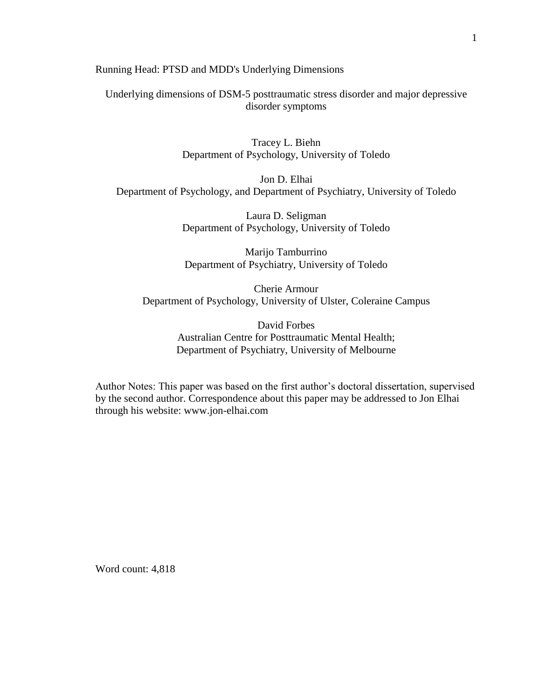Running Head: PTSD and MDD's Underlying Dimensions

Underlying dimensions of DSM-5 posttraumatic stress disorder and major depressive disorder symptoms

> Tracey L. Biehn Department of Psychology, University of Toledo

Jon D. Elhai Department of Psychology, and Department of Psychiatry, University of Toledo

> Laura D. Seligman Department of Psychology, University of Toledo

> Marijo Tamburrino Department of Psychiatry, University of Toledo

Cherie Armour Department of Psychology, University of Ulster, Coleraine Campus

> David Forbes Australian Centre for Posttraumatic Mental Health; Department of Psychiatry, University of Melbourne

Author Notes: This paper was based on the first author's doctoral dissertation, supervised by the second author. Correspondence about this paper may be addressed to Jon Elhai through his website: www.jon-elhai.com

Word count: 4,818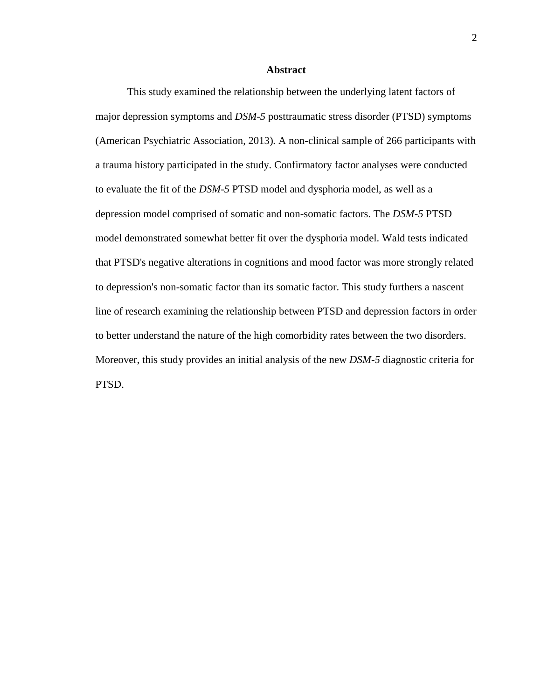### **Abstract**

This study examined the relationship between the underlying latent factors of major depression symptoms and *DSM-5* posttraumatic stress disorder (PTSD) symptoms [\(American Psychiatric Association, 2013\)](#page-20-0)*.* A non-clinical sample of 266 participants with a trauma history participated in the study. Confirmatory factor analyses were conducted to evaluate the fit of the *DSM-5* PTSD model and dysphoria model, as well as a depression model comprised of somatic and non-somatic factors. The *DSM-5* PTSD model demonstrated somewhat better fit over the dysphoria model. Wald tests indicated that PTSD's negative alterations in cognitions and mood factor was more strongly related to depression's non-somatic factor than its somatic factor. This study furthers a nascent line of research examining the relationship between PTSD and depression factors in order to better understand the nature of the high comorbidity rates between the two disorders. Moreover, this study provides an initial analysis of the new *DSM-5* diagnostic criteria for PTSD.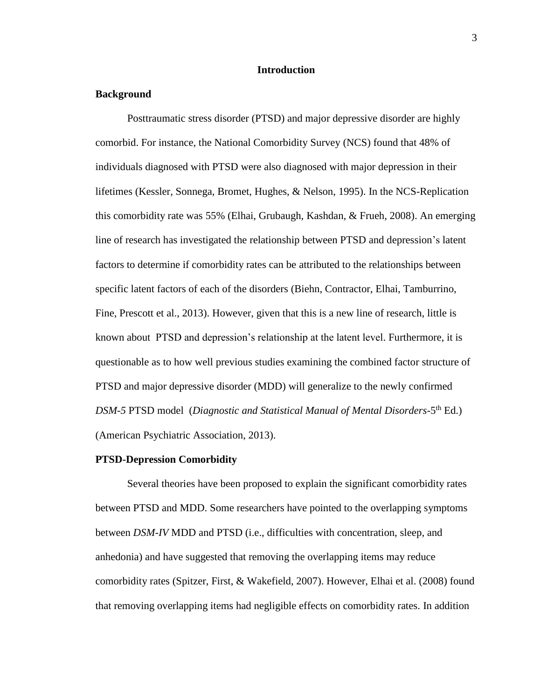# **Introduction**

## **Background**

Posttraumatic stress disorder (PTSD) and major depressive disorder are highly comorbid. For instance, the National Comorbidity Survey (NCS) found that 48% of individuals diagnosed with PTSD were also diagnosed with major depression in their lifetimes [\(Kessler, Sonnega, Bromet, Hughes, & Nelson, 1995\)](#page-24-0). In the NCS-Replication this comorbidity rate was 55% [\(Elhai, Grubaugh, Kashdan, & Frueh, 2008\)](#page-22-0). An emerging line of research has investigated the relationship between PTSD and depression's latent factors to determine if comorbidity rates can be attributed to the relationships between specific latent factors of each of the disorders [\(Biehn, Contractor, Elhai, Tamburrino,](#page-20-1)  [Fine, Prescott et al., 2013\)](#page-20-1). However, given that this is a new line of research, little is known about PTSD and depression's relationship at the latent level. Furthermore, it is questionable as to how well previous studies examining the combined factor structure of PTSD and major depressive disorder (MDD) will generalize to the newly confirmed DSM-5 PTSD model (Diagnostic and Statistical Manual of Mental Disorders-5<sup>th</sup> Ed.) [\(American Psychiatric Association, 2013\)](#page-20-0).

## **PTSD-Depression Comorbidity**

Several theories have been proposed to explain the significant comorbidity rates between PTSD and MDD. Some researchers have pointed to the overlapping symptoms between *DSM-IV* MDD and PTSD (i.e., difficulties with concentration, sleep, and anhedonia) and have suggested that removing the overlapping items may reduce comorbidity rates [\(Spitzer, First, & Wakefield, 2007\)](#page-27-0). However, Elhai et al. [\(2008\)](#page-22-0) found that removing overlapping items had negligible effects on comorbidity rates. In addition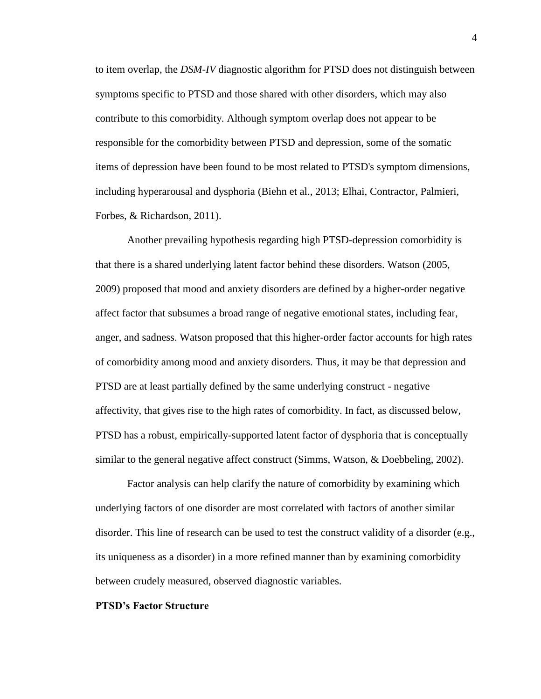to item overlap, the *DSM-IV* diagnostic algorithm for PTSD does not distinguish between symptoms specific to PTSD and those shared with other disorders, which may also contribute to this comorbidity. Although symptom overlap does not appear to be responsible for the comorbidity between PTSD and depression, some of the somatic items of depression have been found to be most related to PTSD's symptom dimensions, including hyperarousal and dysphoria [\(Biehn et al., 2013;](#page-20-1) [Elhai, Contractor, Palmieri,](#page-21-0)  [Forbes, & Richardson, 2011\)](#page-21-0).

Another prevailing hypothesis regarding high PTSD-depression comorbidity is that there is a shared underlying latent factor behind these disorders. Watson [\(2005,](#page-27-1) [2009\)](#page-27-2) proposed that mood and anxiety disorders are defined by a higher-order negative affect factor that subsumes a broad range of negative emotional states, including fear, anger, and sadness. Watson proposed that this higher-order factor accounts for high rates of comorbidity among mood and anxiety disorders. Thus, it may be that depression and PTSD are at least partially defined by the same underlying construct - negative affectivity, that gives rise to the high rates of comorbidity. In fact, as discussed below, PTSD has a robust, empirically-supported latent factor of dysphoria that is conceptually similar to the general negative affect construct [\(Simms, Watson, & Doebbeling, 2002\)](#page-26-0).

Factor analysis can help clarify the nature of comorbidity by examining which underlying factors of one disorder are most correlated with factors of another similar disorder. This line of research can be used to test the construct validity of a disorder (e.g., its uniqueness as a disorder) in a more refined manner than by examining comorbidity between crudely measured, observed diagnostic variables.

#### **PTSD's Factor Structure**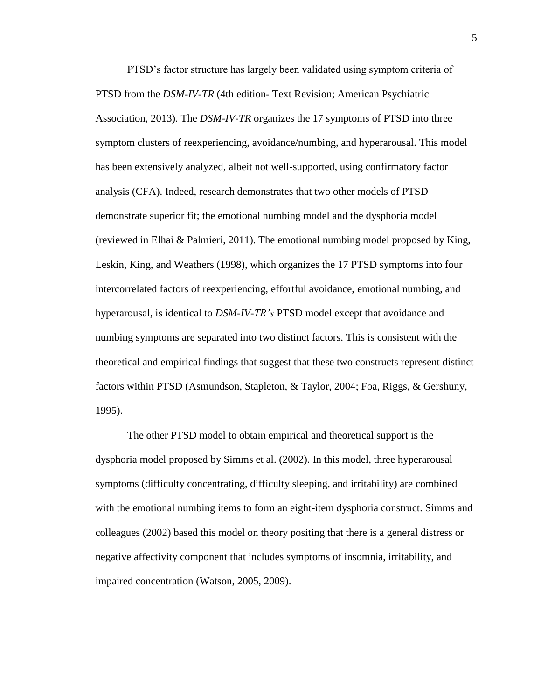PTSD's factor structure has largely been validated using symptom criteria of PTSD from the *DSM-IV-TR* (4th edition- [Text Revision; American Psychiatric](#page-20-0)  [Association, 2013\)](#page-20-0)*.* The *DSM-IV-TR* organizes the 17 symptoms of PTSD into three symptom clusters of reexperiencing, avoidance/numbing, and hyperarousal. This model has been extensively analyzed, albeit not well-supported, using confirmatory factor analysis (CFA). Indeed, research demonstrates that two other models of PTSD demonstrate superior fit; the emotional numbing model and the dysphoria model [\(reviewed in Elhai & Palmieri, 2011\)](#page-22-1). The emotional numbing model proposed by King, Leskin, King, and Weathers [\(1998\)](#page-24-1), which organizes the 17 PTSD symptoms into four intercorrelated factors of reexperiencing, effortful avoidance, emotional numbing, and hyperarousal, is identical to *DSM-IV-TR's* PTSD model except that avoidance and numbing symptoms are separated into two distinct factors. This is consistent with the theoretical and empirical findings that suggest that these two constructs represent distinct factors within PTSD [\(Asmundson, Stapleton, & Taylor, 2004;](#page-20-2) [Foa, Riggs, & Gershuny,](#page-23-0)  [1995\)](#page-23-0).

The other PTSD model to obtain empirical and theoretical support is the dysphoria model proposed by [Simms et al. \(2002\)](#page-26-0). In this model, three hyperarousal symptoms (difficulty concentrating, difficulty sleeping, and irritability) are combined with the emotional numbing items to form an eight-item dysphoria construct. Simms and colleagues [\(2002\)](#page-26-0) based this model on theory positing that there is a general distress or negative affectivity component that includes symptoms of insomnia, irritability, and impaired concentration [\(Watson, 2005,](#page-27-1) [2009\)](#page-27-2).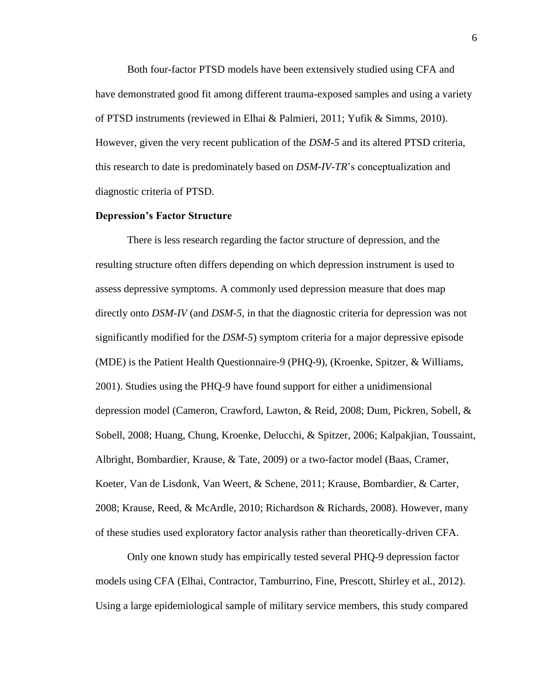Both four-factor PTSD models have been extensively studied using CFA and have demonstrated good fit among different trauma-exposed samples and using a variety of PTSD instruments (reviewed in [Elhai & Palmieri, 2011;](#page-22-1) [Yufik & Simms, 2010\)](#page-28-0). However, given the very recent publication of the *DSM-5* and its altered PTSD criteria, this research to date is predominately based on *DSM-IV-TR*'s conceptualization and diagnostic criteria of PTSD.

#### **Depression's Factor Structure**

There is less research regarding the factor structure of depression, and the resulting structure often differs depending on which depression instrument is used to assess depressive symptoms. A commonly used depression measure that does map directly onto *DSM-IV* (and *DSM-5,* in that the diagnostic criteria for depression was not significantly modified for the *DSM-5*) symptom criteria for a major depressive episode (MDE) is the Patient Health Questionnaire-9 (PHQ-9), [\(Kroenke, Spitzer, & Williams,](#page-25-0)  [2001\)](#page-25-0). Studies using the PHQ-9 have found support for either a unidimensional depression model [\(Cameron, Crawford, Lawton, &](#page-20-3) Reid, 2008; [Dum, Pickren, Sobell, &](#page-21-1)  [Sobell, 2008;](#page-21-1) [Huang, Chung, Kroenke, Delucchi, & Spitzer, 2006;](#page-24-2) [Kalpakjian, Toussaint,](#page-24-3)  [Albright, Bombardier, Krause, & Tate, 2009\)](#page-24-3) or a two-factor model [\(Baas, Cramer,](#page-20-4)  [Koeter, Van de Lisdonk, Van Weert, & Schene, 2011;](#page-20-4) [Krause, Bombardier, & Carter,](#page-24-4)  [2008;](#page-24-4) [Krause, Reed, & McArdle, 2010;](#page-25-1) [Richardson & Richards, 2008\)](#page-26-1). However, many of these studies used exploratory factor analysis rather than theoretically-driven CFA.

Only one known study has empirically tested several PHQ-9 depression factor models using CFA [\(Elhai, Contractor, Tamburrino, Fine, Prescott, Shirley et al., 2012\)](#page-21-2). Using a large epidemiological sample of military service members, this study compared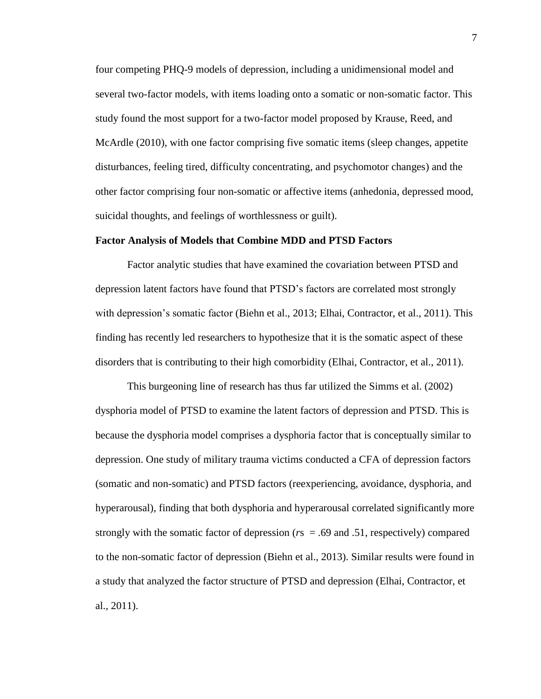four competing PHQ-9 models of depression, including a unidimensional model and several two-factor models, with items loading onto a somatic or non-somatic factor. This study found the most support for a two-factor model proposed by Krause, Reed, and McArdle [\(2010\)](#page-25-1), with one factor comprising five somatic items (sleep changes, appetite disturbances, feeling tired, difficulty concentrating, and psychomotor changes) and the other factor comprising four non-somatic or affective items (anhedonia, depressed mood, suicidal thoughts, and feelings of worthlessness or guilt).

#### **Factor Analysis of Models that Combine MDD and PTSD Factors**

Factor analytic studies that have examined the covariation between PTSD and depression latent factors have found that PTSD's factors are correlated most strongly with depression's somatic factor [\(Biehn et al., 2013;](#page-20-1) [Elhai, Contractor, et al., 2011\)](#page-21-0). This finding has recently led researchers to hypothesize that it is the somatic aspect of these disorders that is contributing to their high comorbidity [\(Elhai, Contractor, et al., 2011\)](#page-21-0).

This burgeoning line of research has thus far utilized the Simms et al. [\(2002\)](#page-26-0) dysphoria model of PTSD to examine the latent factors of depression and PTSD. This is because the dysphoria model comprises a dysphoria factor that is conceptually similar to depression. One study of military trauma victims conducted a CFA of depression factors (somatic and non-somatic) and PTSD factors (reexperiencing, avoidance, dysphoria, and hyperarousal), finding that both dysphoria and hyperarousal correlated significantly more strongly with the somatic factor of depression ( $rs = .69$  and .51, respectively) compared to the non-somatic factor of depression [\(Biehn et al., 2013\)](#page-20-1). Similar results were found in a study that analyzed the factor structure of PTSD and depression [\(Elhai, Contractor, et](#page-21-0)  [al., 2011\)](#page-21-0).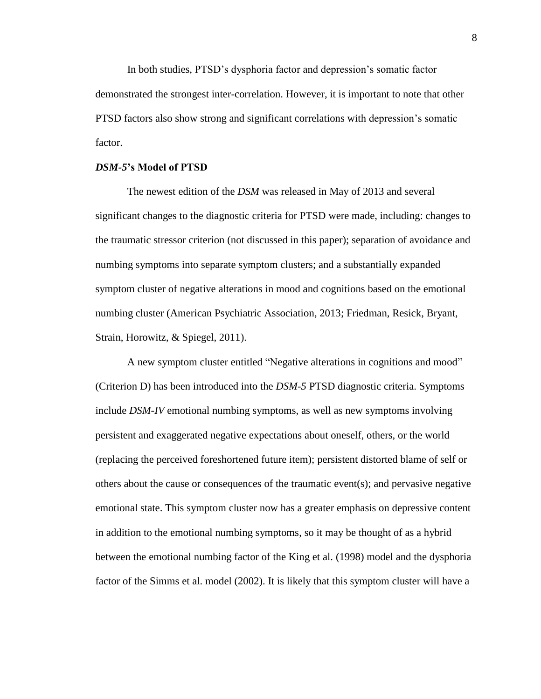In both studies, PTSD's dysphoria factor and depression's somatic factor demonstrated the strongest inter-correlation. However, it is important to note that other PTSD factors also show strong and significant correlations with depression's somatic factor.

### *DSM-5***'s Model of PTSD**

The newest edition of the *DSM* was released in May of 2013 and several significant changes to the diagnostic criteria for PTSD were made, including: changes to the traumatic stressor criterion (not discussed in this paper); separation of avoidance and numbing symptoms into separate symptom clusters; and a substantially expanded symptom cluster of negative alterations in mood and cognitions based on the emotional numbing cluster [\(American Psychiatric Association, 2013;](#page-20-0) [Friedman, Resick, Bryant,](#page-23-1)  [Strain, Horowitz, & Spiegel, 2011\)](#page-23-1).

A new symptom cluster entitled "Negative alterations in cognitions and mood" (Criterion D) has been introduced into the *DSM-5* PTSD diagnostic criteria. Symptoms include *DSM-IV* emotional numbing symptoms, as well as new symptoms involving persistent and exaggerated negative expectations about oneself, others, or the world (replacing the perceived foreshortened future item); persistent distorted blame of self or others about the cause or consequences of the traumatic event(s); and pervasive negative emotional state. This symptom cluster now has a greater emphasis on depressive content in addition to the emotional numbing symptoms, so it may be thought of as a hybrid between the emotional numbing factor of the King et al. [\(1998\)](#page-24-1) model and the dysphoria factor of the Simms et al. model [\(2002\)](#page-26-0). It is likely that this symptom cluster will have a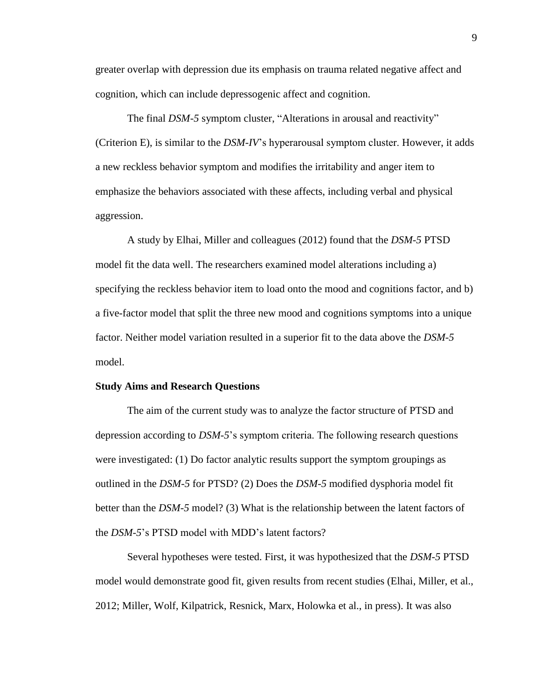greater overlap with depression due its emphasis on trauma related negative affect and cognition, which can include depressogenic affect and cognition.

The final *DSM-5* symptom cluster, "Alterations in arousal and reactivity" (Criterion E), is similar to the *DSM*-*IV*'s hyperarousal symptom cluster. However, it adds a new reckless behavior symptom and modifies the irritability and anger item to emphasize the behaviors associated with these affects, including verbal and physical aggression.

A study by Elhai, Miller and colleagues [\(2012\)](#page-22-2) found that the *DSM-5* PTSD model fit the data well. The researchers examined model alterations including a) specifying the reckless behavior item to load onto the mood and cognitions factor, and b) a five-factor model that split the three new mood and cognitions symptoms into a unique factor. Neither model variation resulted in a superior fit to the data above the *DSM-5* model.

### **Study Aims and Research Questions**

The aim of the current study was to analyze the factor structure of PTSD and depression according to *DSM-5*'s symptom criteria. The following research questions were investigated: (1) Do factor analytic results support the symptom groupings as outlined in the *DSM-5* for PTSD? (2) Does the *DSM-5* modified dysphoria model fit better than the *DSM-5* model? (3) What is the relationship between the latent factors of the *DSM-5*'s PTSD model with MDD's latent factors?

Several hypotheses were tested. First, it was hypothesized that the *DSM-5* PTSD model would demonstrate good fit, given results from recent studies [\(Elhai, Miller, et al.,](#page-22-2)  [2012;](#page-22-2) [Miller, Wolf, Kilpatrick, Resnick, Marx, Holowka et al., in press\)](#page-25-2). It was also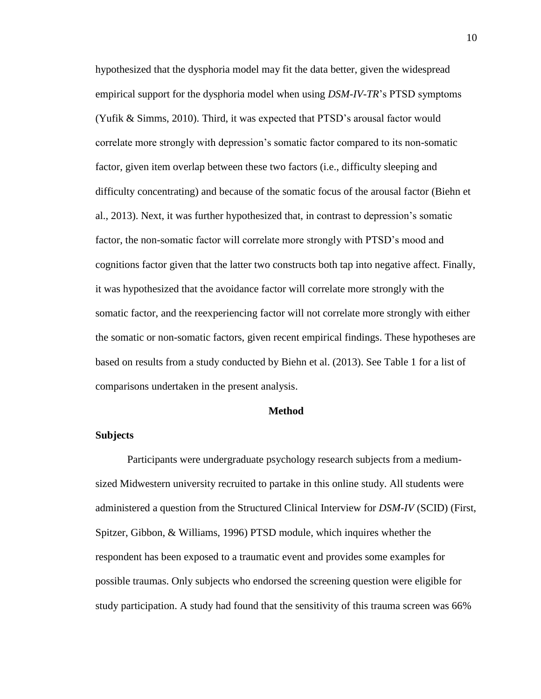hypothesized that the dysphoria model may fit the data better, given the widespread empirical support for the dysphoria model when using *DSM-IV-TR*'s PTSD symptoms [\(Yufik & Simms, 2010\)](#page-28-0). Third, it was expected that PTSD's arousal factor would correlate more strongly with depression's somatic factor compared to its non-somatic factor, given item overlap between these two factors (i.e., difficulty sleeping and difficulty concentrating) and because of the somatic focus of the arousal factor [\(Biehn et](#page-20-1)  [al., 2013\)](#page-20-1). Next, it was further hypothesized that, in contrast to depression's somatic factor, the non-somatic factor will correlate more strongly with PTSD's mood and cognitions factor given that the latter two constructs both tap into negative affect. Finally, it was hypothesized that the avoidance factor will correlate more strongly with the somatic factor, and the reexperiencing factor will not correlate more strongly with either the somatic or non-somatic factors, given recent empirical findings. These hypotheses are based on results from a study conducted by Biehn et al. (2013). See Table 1 for a list of comparisons undertaken in the present analysis.

## **Method**

## **Subjects**

Participants were undergraduate psychology research subjects from a mediumsized Midwestern university recruited to partake in this online study. All students were administered a question from the Structured Clinical Interview for *DSM-IV* (SCID) [\(First,](#page-22-3)  [Spitzer, Gibbon, & Williams, 1996\)](#page-22-3) PTSD module, which inquires whether the respondent has been exposed to a traumatic event and provides some examples for possible traumas. Only subjects who endorsed the screening question were eligible for study participation. A study had found that the sensitivity of this trauma screen was 66%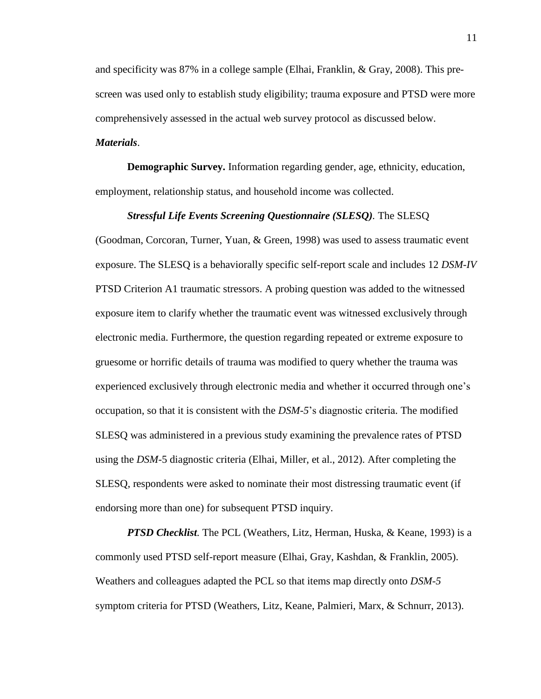and specificity was 87% in a college sample [\(Elhai, Franklin, & Gray, 2008\)](#page-21-3). This prescreen was used only to establish study eligibility; trauma exposure and PTSD were more comprehensively assessed in the actual web survey protocol as discussed below.

# *Materials*.

**Demographic Survey.** Information regarding gender, age, ethnicity, education, employment, relationship status, and household income was collected.

### *Stressful Life Events Screening Questionnaire (SLESQ).* The SLESQ

[\(Goodman, Corcoran, Turner, Yuan, & Green, 1998\)](#page-23-2) was used to assess traumatic event exposure. The SLESQ is a behaviorally specific self-report scale and includes 12 *DSM-IV* PTSD Criterion A1 traumatic stressors. A probing question was added to the witnessed exposure item to clarify whether the traumatic event was witnessed exclusively through electronic media. Furthermore, the question regarding repeated or extreme exposure to gruesome or horrific details of trauma was modified to query whether the trauma was experienced exclusively through electronic media and whether it occurred through one's occupation, so that it is consistent with the *DSM-5*'s diagnostic criteria. The modified SLESQ was administered in a previous study examining the prevalence rates of PTSD using the *DSM-*5 diagnostic criteria [\(Elhai, Miller, et al., 2012\)](#page-22-2). After completing the SLESQ, respondents were asked to nominate their most distressing traumatic event (if endorsing more than one) for subsequent PTSD inquiry.

*PTSD Checklist.* The PCL [\(Weathers, Litz, Herman, Huska, & Keane, 1993\)](#page-28-1) is a commonly used PTSD self-report measure [\(Elhai, Gray, Kashdan, & Franklin, 2005\)](#page-22-4). Weathers and colleagues adapted the PCL so that items map directly onto *DSM-5* symptom criteria for PTSD [\(Weathers, Litz, Keane, Palmieri, Marx, & Schnurr, 2013\)](#page-28-2).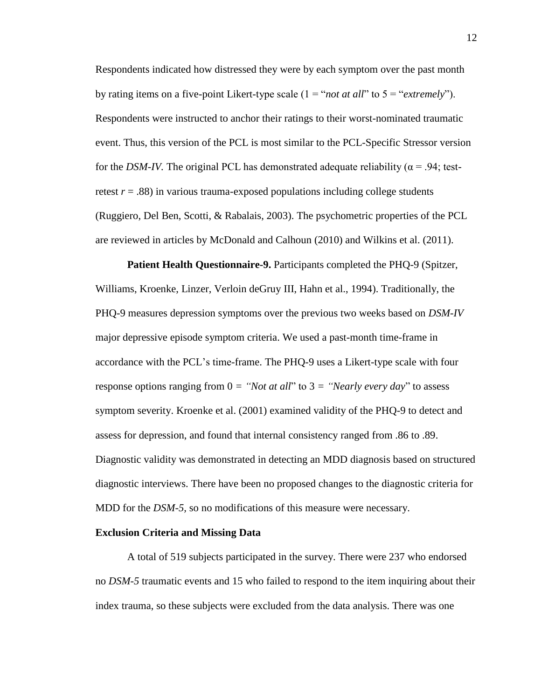Respondents indicated how distressed they were by each symptom over the past month by rating items on a five-point Likert-type scale (1 = "*not at all*" to 5 = "*extremely*"). Respondents were instructed to anchor their ratings to their worst-nominated traumatic event. Thus, this version of the PCL is most similar to the PCL-Specific Stressor version for the *DSM-IV*. The original PCL has demonstrated adequate reliability ( $\alpha$  = .94; testretest  $r = .88$ ) in various trauma-exposed populations including college students [\(Ruggiero, Del Ben, Scotti, & Rabalais, 2003\)](#page-26-2). The psychometric properties of the PCL are reviewed in articles by McDonald and Calhoun [\(2010\)](#page-25-3) and Wilkins et al. [\(2011\)](#page-28-3).

**Patient Health Questionnaire-9.** Participants completed the PHQ-9 [\(Spitzer,](#page-27-3)  [Williams, Kroenke, Linzer, Verloin deGruy III, Hahn et al., 1994\)](#page-27-3). Traditionally, the PHQ-9 measures depression symptoms over the previous two weeks based on *DSM-IV* major depressive episode symptom criteria. We used a past-month time-frame in accordance with the PCL's time-frame. The PHQ-9 uses a Likert-type scale with four response options ranging from  $0 =$  "*Not at all*" to  $3 =$  "*Nearly every day*" to assess symptom severity. Kroenke et al. [\(2001\)](#page-25-0) examined validity of the PHQ-9 to detect and assess for depression, and found that internal consistency ranged from .86 to .89. Diagnostic validity was demonstrated in detecting an MDD diagnosis based on structured diagnostic interviews. There have been no proposed changes to the diagnostic criteria for MDD for the *DSM-5,* so no modifications of this measure were necessary.

#### **Exclusion Criteria and Missing Data**

A total of 519 subjects participated in the survey. There were 237 who endorsed no *DSM-5* traumatic events and 15 who failed to respond to the item inquiring about their index trauma, so these subjects were excluded from the data analysis. There was one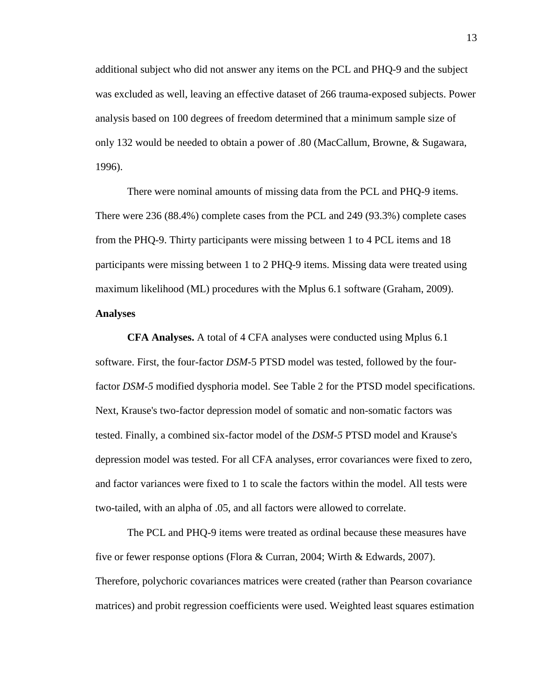additional subject who did not answer any items on the PCL and PHQ-9 and the subject was excluded as well, leaving an effective dataset of 266 trauma-exposed subjects. Power analysis based on 100 degrees of freedom determined that a minimum sample size of only 132 would be needed to obtain a power of .80 [\(MacCallum, Browne, & Sugawara,](#page-25-4)  [1996\)](#page-25-4).

There were nominal amounts of missing data from the PCL and PHQ-9 items. There were 236 (88.4%) complete cases from the PCL and 249 (93.3%) complete cases from the PHQ-9. Thirty participants were missing between 1 to 4 PCL items and 18 participants were missing between 1 to 2 PHQ-9 items. Missing data were treated using maximum likelihood (ML) procedures with the Mplus 6.1 software [\(Graham, 2009\)](#page-23-3). **Analyses**

**CFA Analyses.** A total of 4 CFA analyses were conducted using Mplus 6.1 software. First, the four-factor *DSM-*5 PTSD model was tested, followed by the fourfactor *DSM-5* modified dysphoria model. See Table 2 for the PTSD model specifications. Next, Krause's two-factor depression model of somatic and non-somatic factors was tested. Finally, a combined six-factor model of the *DSM-5* PTSD model and Krause's depression model was tested. For all CFA analyses, error covariances were fixed to zero, and factor variances were fixed to 1 to scale the factors within the model. All tests were two-tailed, with an alpha of .05, and all factors were allowed to correlate.

The PCL and PHQ-9 items were treated as ordinal because these measures have five or fewer response options [\(Flora & Curran, 2004;](#page-23-4) [Wirth & Edwards, 2007\)](#page-28-4). Therefore, polychoric covariances matrices were created (rather than Pearson covariance matrices) and probit regression coefficients were used. Weighted least squares estimation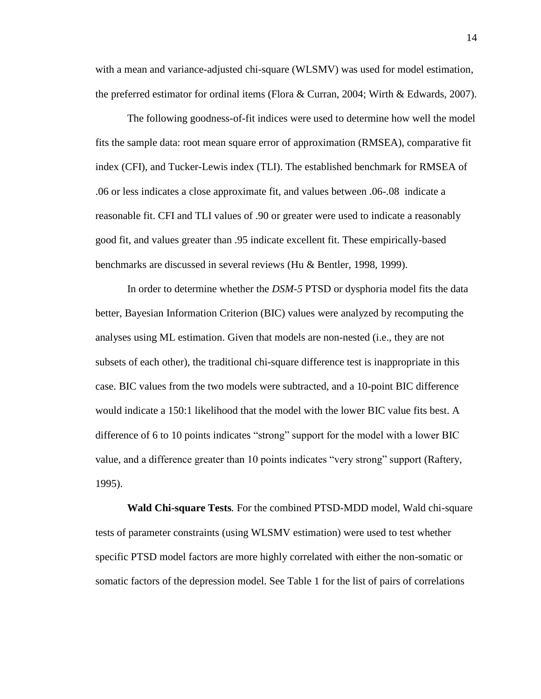with a mean and variance-adjusted chi-square (WLSMV) was used for model estimation, the preferred estimator for ordinal items [\(Flora & Curran, 2004;](#page-23-4) [Wirth & Edwards, 2007\)](#page-28-4).

The following goodness-of-fit indices were used to determine how well the model fits the sample data: root mean square error of approximation (RMSEA), comparative fit index (CFI), and Tucker-Lewis index (TLI). The established benchmark for RMSEA of .06 or less indicates a close approximate fit, and values between .06-.08 indicate a reasonable fit. CFI and TLI values of .90 or greater were used to indicate a reasonably good fit, and values greater than .95 indicate excellent fit. These empirically-based benchmarks are discussed in several reviews [\(Hu & Bentler, 1998,](#page-24-5) [1999\)](#page-24-6).

In order to determine whether the *DSM-5* PTSD or dysphoria model fits the data better, Bayesian Information Criterion (BIC) values were analyzed by recomputing the analyses using ML estimation. Given that models are non-nested (i.e., they are not subsets of each other), the traditional chi-square difference test is inappropriate in this case. BIC values from the two models were subtracted, and a 10-point BIC difference would indicate a 150:1 likelihood that the model with the lower BIC value fits best. A difference of 6 to 10 points indicates "strong" support for the model with a lower BIC value, and a difference greater than 10 points indicates "very strong" support [\(Raftery,](#page-26-3)  [1995\)](#page-26-3).

**Wald Chi-square Tests***.* For the combined PTSD-MDD model, Wald chi-square tests of parameter constraints (using WLSMV estimation) were used to test whether specific PTSD model factors are more highly correlated with either the non-somatic or somatic factors of the depression model. See Table 1 for the list of pairs of correlations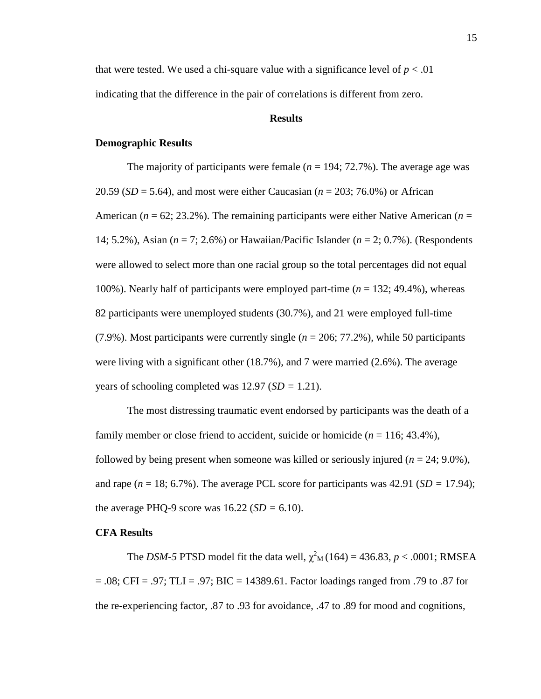that were tested. We used a chi-square value with a significance level of  $p < .01$ indicating that the difference in the pair of correlations is different from zero.

# **Results**

# **Demographic Results**

The majority of participants were female  $(n = 194; 72.7\%)$ . The average age was 20.59 (*SD* = 5.64), and most were either Caucasian (*n* = 203; 76.0%) or African American (*n* = 62; 23.2%). The remaining participants were either Native American (*n* = 14; 5.2%), Asian (*n* = 7; 2.6%) or Hawaiian/Pacific Islander (*n* = 2; 0.7%). (Respondents were allowed to select more than one racial group so the total percentages did not equal 100%). Nearly half of participants were employed part-time (*n* = 132; 49.4%), whereas 82 participants were unemployed students (30.7%), and 21 were employed full-time (7.9%). Most participants were currently single (*n* = 206; 77.2%), while 50 participants were living with a significant other (18.7%), and 7 were married (2.6%). The average years of schooling completed was 12.97 (*SD =* 1.21).

The most distressing traumatic event endorsed by participants was the death of a family member or close friend to accident, suicide or homicide  $(n = 116; 43.4\%)$ , followed by being present when someone was killed or seriously injured  $(n = 24, 9.0\%)$ , and rape  $(n = 18; 6.7\%)$ . The average PCL score for participants was  $42.91$  ( $SD = 17.94$ ); the average PHQ-9 score was  $16.22$  (*SD* = 6.10).

## **CFA Results**

The *DSM-5* PTSD model fit the data well,  $\chi^2$ <sub>M</sub>(164) = 436.83, *p* < .0001; RMSEA  $= .08$ ; CFI = .97; TLI = .97; BIC = 14389.61. Factor loadings ranged from .79 to .87 for the re-experiencing factor, .87 to .93 for avoidance, .47 to .89 for mood and cognitions,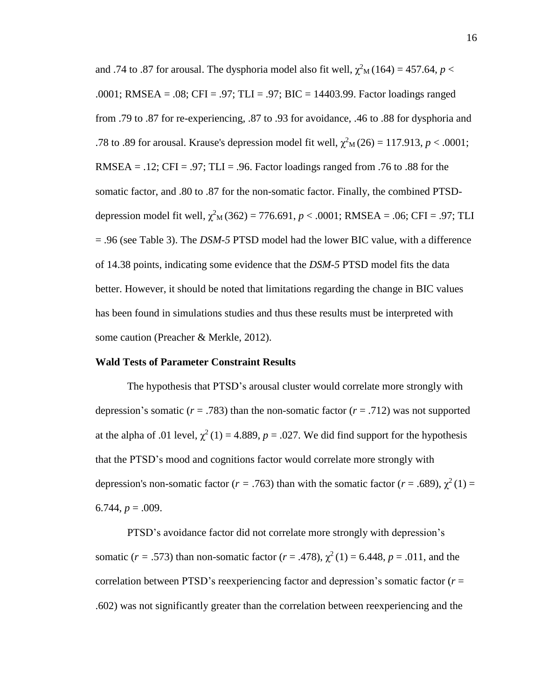and .74 to .87 for arousal. The dysphoria model also fit well,  $\chi^2$ <sub>M</sub> (164) = 457.64, *p* < .0001; RMSEA = .08; CFI = .97; TLI = .97; BIC = 14403.99. Factor loadings ranged from .79 to .87 for re-experiencing, .87 to .93 for avoidance, .46 to .88 for dysphoria and .78 to .89 for arousal. Krause's depression model fit well,  $\chi^2$ <sub>M</sub>(26) = 117.913, *p* < .0001; RMSEA = .12; CFI = .97; TLI = .96. Factor loadings ranged from .76 to .88 for the somatic factor, and .80 to .87 for the non-somatic factor. Finally, the combined PTSDdepression model fit well,  $\chi^2$ <sub>M</sub>(362) = 776.691, *p* < .0001; RMSEA = .06; CFI = .97; TLI = .96 (see Table 3). The *DSM-5* PTSD model had the lower BIC value, with a difference of 14.38 points, indicating some evidence that the *DSM-5* PTSD model fits the data better. However, it should be noted that limitations regarding the change in BIC values has been found in simulations studies and thus these results must be interpreted with some caution [\(Preacher & Merkle, 2012\)](#page-26-4).

### **Wald Tests of Parameter Constraint Results**

The hypothesis that PTSD's arousal cluster would correlate more strongly with depression's somatic ( $r = .783$ ) than the non-somatic factor ( $r = .712$ ) was not supported at the alpha of .01 level,  $\chi^2(1) = 4.889$ ,  $p = .027$ . We did find support for the hypothesis that the PTSD's mood and cognitions factor would correlate more strongly with depression's non-somatic factor ( $r = .763$ ) than with the somatic factor ( $r = .689$ ),  $\chi^2(1) =$ 6.744,  $p = .009$ .

PTSD's avoidance factor did not correlate more strongly with depression's somatic ( $r = .573$ ) than non-somatic factor ( $r = .478$ ),  $\chi^2(1) = 6.448$ ,  $p = .011$ , and the correlation between PTSD's reexperiencing factor and depression's somatic factor (*r* = .602) was not significantly greater than the correlation between reexperiencing and the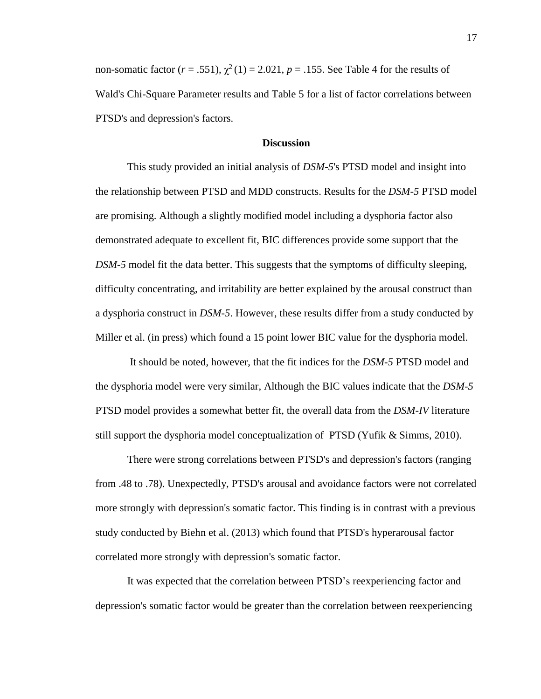non-somatic factor  $(r = .551)$ ,  $\chi^2(1) = 2.021$ ,  $p = .155$ . See Table 4 for the results of Wald's Chi-Square Parameter results and Table 5 for a list of factor correlations between PTSD's and depression's factors.

# **Discussion**

This study provided an initial analysis of *DSM-5*'s PTSD model and insight into the relationship between PTSD and MDD constructs. Results for the *DSM-5* PTSD model are promising. Although a slightly modified model including a dysphoria factor also demonstrated adequate to excellent fit, BIC differences provide some support that the *DSM-5* model fit the data better. This suggests that the symptoms of difficulty sleeping, difficulty concentrating, and irritability are better explained by the arousal construct than a dysphoria construct in *DSM-5*. However, these results differ from a study conducted by [Miller et al. \(in press\)](#page-25-2) which found a 15 point lower BIC value for the dysphoria model.

It should be noted, however, that the fit indices for the *DSM-5* PTSD model and the dysphoria model were very similar, Although the BIC values indicate that the *DSM-5*  PTSD model provides a somewhat better fit, the overall data from the *DSM-IV* literature still support the dysphoria model conceptualization of PTSD [\(Yufik & Simms, 2010\)](#page-28-0).

There were strong correlations between PTSD's and depression's factors (ranging from .48 to .78). Unexpectedly, PTSD's arousal and avoidance factors were not correlated more strongly with depression's somatic factor. This finding is in contrast with a previous study conducted by [Biehn et al. \(2013\)](#page-20-1) which found that PTSD's hyperarousal factor correlated more strongly with depression's somatic factor.

It was expected that the correlation between PTSD's reexperiencing factor and depression's somatic factor would be greater than the correlation between reexperiencing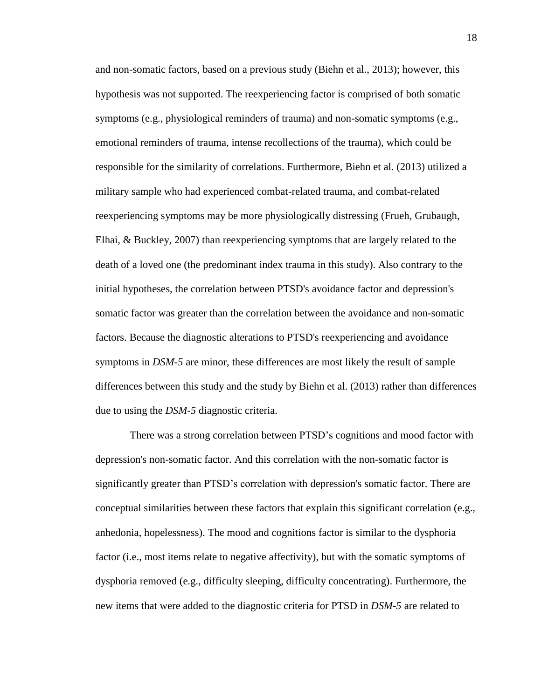and non-somatic factors, based on a previous study [\(Biehn et al., 2013\)](#page-20-1); however, this hypothesis was not supported. The reexperiencing factor is comprised of both somatic symptoms (e.g., physiological reminders of trauma) and non-somatic symptoms (e.g., emotional reminders of trauma, intense recollections of the trauma), which could be responsible for the similarity of correlations. Furthermore, Biehn et al. [\(2013\)](#page-20-1) utilized a military sample who had experienced combat-related trauma, and combat-related reexperiencing symptoms may be more physiologically distressing [\(Frueh, Grubaugh,](#page-23-5)  [Elhai, & Buckley, 2007\)](#page-23-5) than reexperiencing symptoms that are largely related to the death of a loved one (the predominant index trauma in this study). Also contrary to the initial hypotheses, the correlation between PTSD's avoidance factor and depression's somatic factor was greater than the correlation between the avoidance and non-somatic factors. Because the diagnostic alterations to PTSD's reexperiencing and avoidance symptoms in *DSM-5* are minor, these differences are most likely the result of sample differences between this study and the study by [Biehn et al. \(2013\)](#page-20-1) rather than differences due to using the *DSM-5* diagnostic criteria.

There was a strong correlation between PTSD's cognitions and mood factor with depression's non-somatic factor. And this correlation with the non-somatic factor is significantly greater than PTSD's correlation with depression's somatic factor. There are conceptual similarities between these factors that explain this significant correlation (e.g., anhedonia, hopelessness). The mood and cognitions factor is similar to the dysphoria factor (i.e., most items relate to negative affectivity), but with the somatic symptoms of dysphoria removed (e.g., difficulty sleeping, difficulty concentrating). Furthermore, the new items that were added to the diagnostic criteria for PTSD in *DSM-5* are related to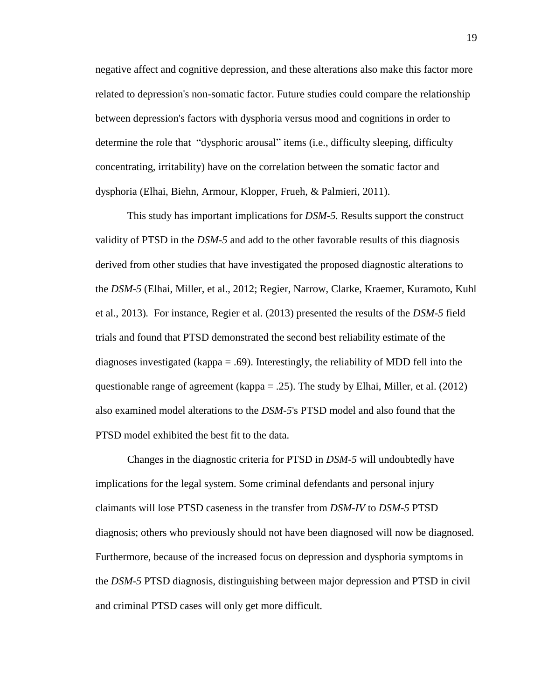negative affect and cognitive depression, and these alterations also make this factor more related to depression's non-somatic factor. Future studies could compare the relationship between depression's factors with dysphoria versus mood and cognitions in order to determine the role that "dysphoric arousal" items (i.e., difficulty sleeping, difficulty concentrating, irritability) have on the correlation between the somatic factor and dysphoria [\(Elhai, Biehn, Armour, Klopper, Frueh, & Palmieri, 2011\)](#page-21-4).

This study has important implications for *DSM-5.* Results support the construct validity of PTSD in the *DSM-5* and add to the other favorable results of this diagnosis derived from other studies that have investigated the proposed diagnostic alterations to the *DSM-5* [\(Elhai, Miller, et al., 2012;](#page-22-2) [Regier, Narrow, Clarke, Kraemer, Kuramoto, Kuhl](#page-26-5)  [et al., 2013\)](#page-26-5)*.* For instance, [Regier et al. \(2013\)](#page-26-5) presented the results of the *DSM-5* field trials and found that PTSD demonstrated the second best reliability estimate of the diagnoses investigated (kappa = .69). Interestingly, the reliability of MDD fell into the questionable range of agreement (kappa = .25). The study by [Elhai, Miller, et al. \(2012\)](#page-22-2) also examined model alterations to the *DSM-5*'s PTSD model and also found that the PTSD model exhibited the best fit to the data.

Changes in the diagnostic criteria for PTSD in *DSM-5* will undoubtedly have implications for the legal system. Some criminal defendants and personal injury claimants will lose PTSD caseness in the transfer from *DSM-IV* to *DSM-5* PTSD diagnosis; others who previously should not have been diagnosed will now be diagnosed. Furthermore, because of the increased focus on depression and dysphoria symptoms in the *DSM-5* PTSD diagnosis, distinguishing between major depression and PTSD in civil and criminal PTSD cases will only get more difficult.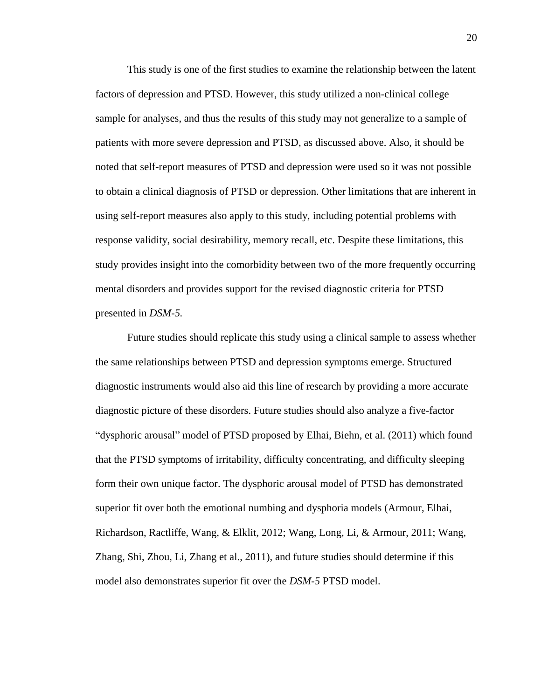This study is one of the first studies to examine the relationship between the latent factors of depression and PTSD. However, this study utilized a non-clinical college sample for analyses, and thus the results of this study may not generalize to a sample of patients with more severe depression and PTSD, as discussed above. Also, it should be noted that self-report measures of PTSD and depression were used so it was not possible to obtain a clinical diagnosis of PTSD or depression. Other limitations that are inherent in using self-report measures also apply to this study, including potential problems with response validity, social desirability, memory recall, etc. Despite these limitations, this study provides insight into the comorbidity between two of the more frequently occurring mental disorders and provides support for the revised diagnostic criteria for PTSD presented in *DSM-5.*

Future studies should replicate this study using a clinical sample to assess whether the same relationships between PTSD and depression symptoms emerge. Structured diagnostic instruments would also aid this line of research by providing a more accurate diagnostic picture of these disorders. Future studies should also analyze a five-factor "dysphoric arousal" model of PTSD proposed by [Elhai, Biehn, et al. \(2011\)](#page-21-4) which found that the PTSD symptoms of irritability, difficulty concentrating, and difficulty sleeping form their own unique factor. The dysphoric arousal model of PTSD has demonstrated superior fit over both the emotional numbing and dysphoria models [\(Armour, Elhai,](#page-20-5)  [Richardson, Ractliffe, Wang, & Elklit, 2012;](#page-20-5) [Wang, Long, Li, & Armour, 2011;](#page-27-4) [Wang,](#page-27-5)  [Zhang, Shi, Zhou, Li, Zhang et al., 2011\)](#page-27-5), and future studies should determine if this model also demonstrates superior fit over the *DSM-5* PTSD model.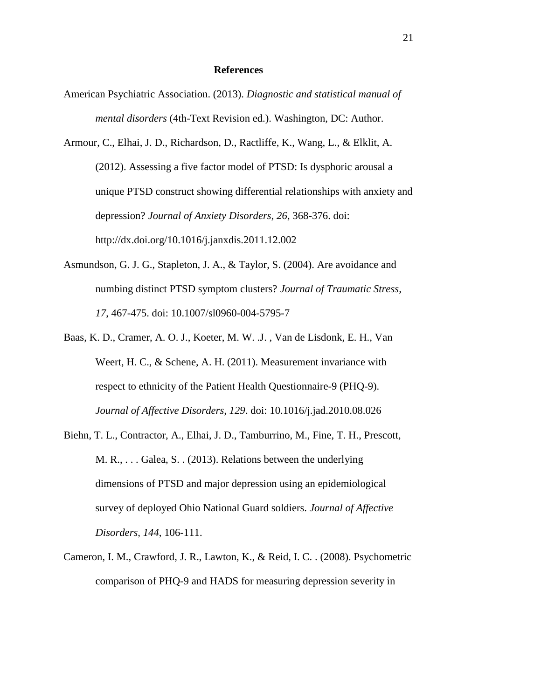## **References**

- <span id="page-20-0"></span>American Psychiatric Association. (2013). *Diagnostic and statistical manual of mental disorders* (4th-Text Revision ed.). Washington, DC: Author.
- <span id="page-20-5"></span>Armour, C., Elhai, J. D., Richardson, D., Ractliffe, K., Wang, L., & Elklit, A. (2012). Assessing a five factor model of PTSD: Is dysphoric arousal a unique PTSD construct showing differential relationships with anxiety and depression? *Journal of Anxiety Disorders, 26*, 368-376. doi: http://dx.doi.org/10.1016/j.janxdis.2011.12.002
- <span id="page-20-2"></span>Asmundson, G. J. G., Stapleton, J. A., & Taylor, S. (2004). Are avoidance and numbing distinct PTSD symptom clusters? *Journal of Traumatic Stress, 17*, 467-475. doi: 10.1007/sl0960-004-5795-7
- <span id="page-20-4"></span>Baas, K. D., Cramer, A. O. J., Koeter, M. W. .J. , Van de Lisdonk, E. H., Van Weert, H. C., & Schene, A. H. (2011). Measurement invariance with respect to ethnicity of the Patient Health Questionnaire-9 (PHQ-9). *Journal of Affective Disorders, 129*. doi: 10.1016/j.jad.2010.08.026
- <span id="page-20-1"></span>Biehn, T. L., Contractor, A., Elhai, J. D., Tamburrino, M., Fine, T. H., Prescott, M. R., . . . Galea, S. . (2013). Relations between the underlying dimensions of PTSD and major depression using an epidemiological survey of deployed Ohio National Guard soldiers. *Journal of Affective Disorders, 144*, 106-111.
- <span id="page-20-3"></span>Cameron, I. M., Crawford, J. R., Lawton, K., & Reid, I. C. . (2008). Psychometric comparison of PHQ-9 and HADS for measuring depression severity in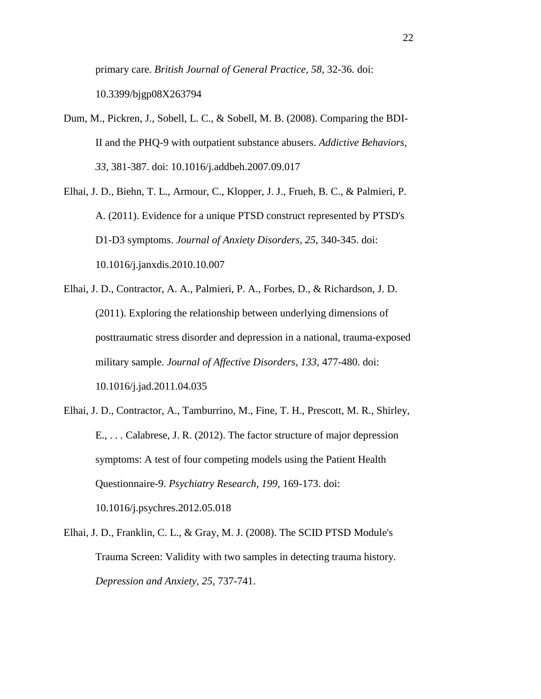primary care. *British Journal of General Practice, 58*, 32-36. doi: 10.3399/bjgp08X263794

- <span id="page-21-1"></span>Dum, M., Pickren, J., Sobell, L. C., & Sobell, M. B. (2008). Comparing the BDI-II and the PHQ-9 with outpatient substance abusers. *Addictive Behaviors, 33*, 381-387. doi: 10.1016/j.addbeh.2007.09.017
- <span id="page-21-4"></span>Elhai, J. D., Biehn, T. L., Armour, C., Klopper, J. J., Frueh, B. C., & Palmieri, P. A. (2011). Evidence for a unique PTSD construct represented by PTSD's D1-D3 symptoms. *Journal of Anxiety Disorders, 25*, 340-345. doi: 10.1016/j.janxdis.2010.10.007
- <span id="page-21-0"></span>Elhai, J. D., Contractor, A. A., Palmieri, P. A., Forbes, D., & Richardson, J. D. (2011). Exploring the relationship between underlying dimensions of posttraumatic stress disorder and depression in a national, trauma-exposed military sample. *Journal of Affective Disorders, 133*, 477-480. doi: 10.1016/j.jad.2011.04.035
- <span id="page-21-2"></span>Elhai, J. D., Contractor, A., Tamburrino, M., Fine, T. H., Prescott, M. R., Shirley, E., . . . Calabrese, J. R. (2012). The factor structure of major depression symptoms: A test of four competing models using the Patient Health Questionnaire-9. *Psychiatry Research, 199*, 169-173. doi: 10.1016/j.psychres.2012.05.018
- <span id="page-21-3"></span>Elhai, J. D., Franklin, C. L., & Gray, M. J. (2008). The SCID PTSD Module's Trauma Screen: Validity with two samples in detecting trauma history. *Depression and Anxiety, 25*, 737-741.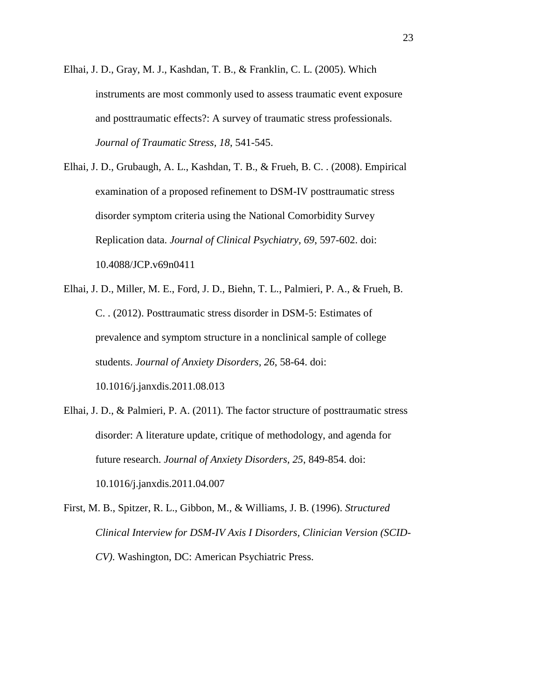- <span id="page-22-4"></span>Elhai, J. D., Gray, M. J., Kashdan, T. B., & Franklin, C. L. (2005). Which instruments are most commonly used to assess traumatic event exposure and posttraumatic effects?: A survey of traumatic stress professionals. *Journal of Traumatic Stress, 18*, 541-545.
- <span id="page-22-0"></span>Elhai, J. D., Grubaugh, A. L., Kashdan, T. B., & Frueh, B. C. . (2008). Empirical examination of a proposed refinement to DSM-IV posttraumatic stress disorder symptom criteria using the National Comorbidity Survey Replication data. *Journal of Clinical Psychiatry, 69*, 597-602. doi: 10.4088/JCP.v69n0411
- <span id="page-22-2"></span>Elhai, J. D., Miller, M. E., Ford, J. D., Biehn, T. L., Palmieri, P. A., & Frueh, B. C. . (2012). Posttraumatic stress disorder in DSM-5: Estimates of prevalence and symptom structure in a nonclinical sample of college students. *Journal of Anxiety Disorders, 26*, 58-64. doi: 10.1016/j.janxdis.2011.08.013
- <span id="page-22-1"></span>Elhai, J. D., & Palmieri, P. A. (2011). The factor structure of posttraumatic stress disorder: A literature update, critique of methodology, and agenda for future research. *Journal of Anxiety Disorders, 25*, 849-854. doi: 10.1016/j.janxdis.2011.04.007
- <span id="page-22-3"></span>First, M. B., Spitzer, R. L., Gibbon, M., & Williams, J. B. (1996). *Structured Clinical Interview for DSM-IV Axis I Disorders, Clinician Version (SCID-CV)*. Washington, DC: American Psychiatric Press.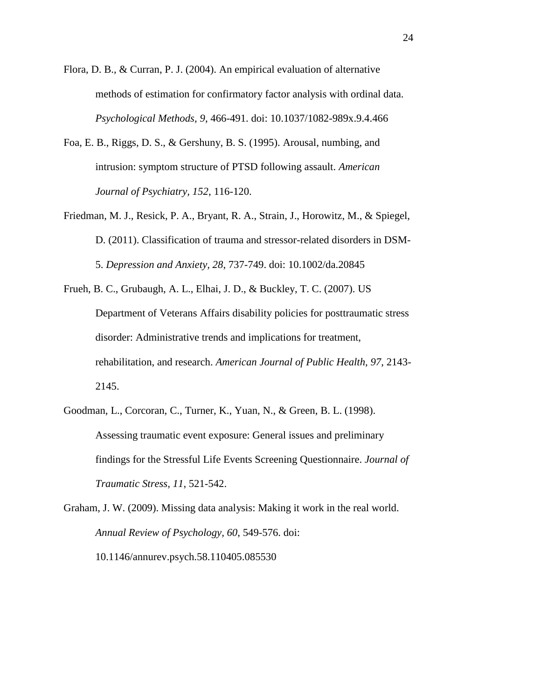- <span id="page-23-4"></span>Flora, D. B., & Curran, P. J. (2004). An empirical evaluation of alternative methods of estimation for confirmatory factor analysis with ordinal data. *Psychological Methods, 9*, 466-491. doi: 10.1037/1082-989x.9.4.466
- <span id="page-23-0"></span>Foa, E. B., Riggs, D. S., & Gershuny, B. S. (1995). Arousal, numbing, and intrusion: symptom structure of PTSD following assault. *American Journal of Psychiatry, 152*, 116-120.
- <span id="page-23-1"></span>Friedman, M. J., Resick, P. A., Bryant, R. A., Strain, J., Horowitz, M., & Spiegel, D. (2011). Classification of trauma and stressor-related disorders in DSM-5. *Depression and Anxiety, 28*, 737-749. doi: 10.1002/da.20845
- <span id="page-23-5"></span>Frueh, B. C., Grubaugh, A. L., Elhai, J. D., & Buckley, T. C. (2007). US Department of Veterans Affairs disability policies for posttraumatic stress disorder: Administrative trends and implications for treatment, rehabilitation, and research. *American Journal of Public Health, 97*, 2143- 2145.
- <span id="page-23-2"></span>Goodman, L., Corcoran, C., Turner, K., Yuan, N., & Green, B. L. (1998). Assessing traumatic event exposure: General issues and preliminary findings for the Stressful Life Events Screening Questionnaire. *Journal of Traumatic Stress, 11*, 521-542.
- <span id="page-23-3"></span>Graham, J. W. (2009). Missing data analysis: Making it work in the real world. *Annual Review of Psychology, 60*, 549-576. doi: 10.1146/annurev.psych.58.110405.085530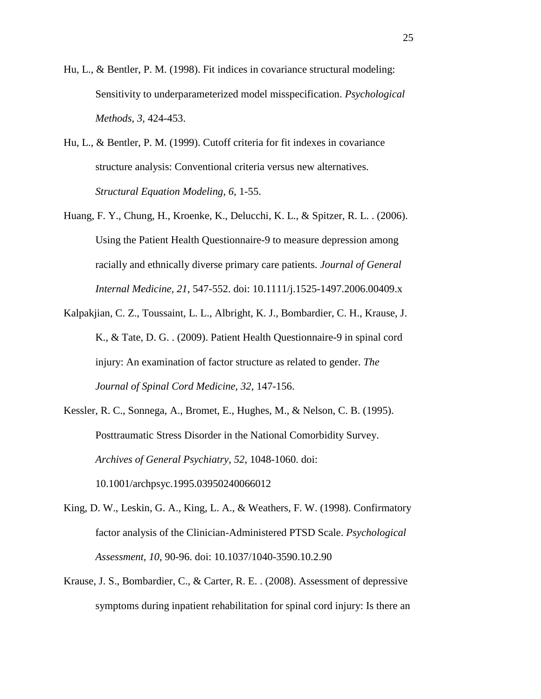- <span id="page-24-5"></span>Hu, L., & Bentler, P. M. (1998). Fit indices in covariance structural modeling: Sensitivity to underparameterized model misspecification. *Psychological Methods, 3*, 424-453.
- <span id="page-24-6"></span>Hu, L., & Bentler, P. M. (1999). Cutoff criteria for fit indexes in covariance structure analysis: Conventional criteria versus new alternatives. *Structural Equation Modeling, 6*, 1-55.
- <span id="page-24-2"></span>Huang, F. Y., Chung, H., Kroenke, K., Delucchi, K. L., & Spitzer, R. L. . (2006). Using the Patient Health Questionnaire-9 to measure depression among racially and ethnically diverse primary care patients. *Journal of General Internal Medicine, 21*, 547-552. doi: 10.1111/j.1525-1497.2006.00409.x
- <span id="page-24-3"></span>Kalpakjian, C. Z., Toussaint, L. L., Albright, K. J., Bombardier, C. H., Krause, J. K., & Tate, D. G. . (2009). Patient Health Questionnaire-9 in spinal cord injury: An examination of factor structure as related to gender. *The Journal of Spinal Cord Medicine, 32*, 147-156.
- <span id="page-24-0"></span>Kessler, R. C., Sonnega, A., Bromet, E., Hughes, M., & Nelson, C. B. (1995). Posttraumatic Stress Disorder in the National Comorbidity Survey. *Archives of General Psychiatry, 52*, 1048-1060. doi: 10.1001/archpsyc.1995.03950240066012
- <span id="page-24-1"></span>King, D. W., Leskin, G. A., King, L. A., & Weathers, F. W. (1998). Confirmatory factor analysis of the Clinician-Administered PTSD Scale. *Psychological Assessment, 10*, 90-96. doi: 10.1037/1040-3590.10.2.90
- <span id="page-24-4"></span>Krause, J. S., Bombardier, C., & Carter, R. E. . (2008). Assessment of depressive symptoms during inpatient rehabilitation for spinal cord injury: Is there an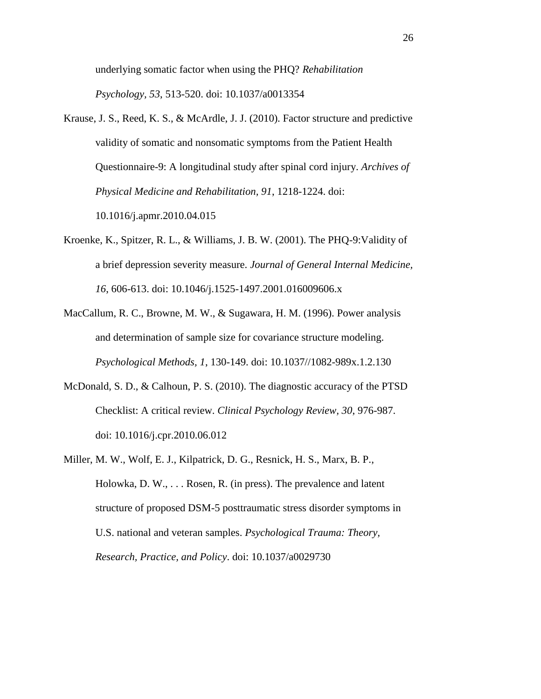underlying somatic factor when using the PHQ? *Rehabilitation Psychology, 53*, 513-520. doi: 10.1037/a0013354

- <span id="page-25-1"></span>Krause, J. S., Reed, K. S., & McArdle, J. J. (2010). Factor structure and predictive validity of somatic and nonsomatic symptoms from the Patient Health Questionnaire-9: A longitudinal study after spinal cord injury. *Archives of Physical Medicine and Rehabilitation, 91*, 1218-1224. doi: 10.1016/j.apmr.2010.04.015
- <span id="page-25-0"></span>Kroenke, K., Spitzer, R. L., & Williams, J. B. W. (2001). The PHQ-9:Validity of a brief depression severity measure. *Journal of General Internal Medicine, 16*, 606-613. doi: 10.1046/j.1525-1497.2001.016009606.x
- <span id="page-25-4"></span>MacCallum, R. C., Browne, M. W., & Sugawara, H. M. (1996). Power analysis and determination of sample size for covariance structure modeling. *Psychological Methods, 1*, 130-149. doi: 10.1037//1082-989x.1.2.130
- <span id="page-25-3"></span>McDonald, S. D., & Calhoun, P. S. (2010). The diagnostic accuracy of the PTSD Checklist: A critical review. *Clinical Psychology Review, 30*, 976-987. doi: 10.1016/j.cpr.2010.06.012
- <span id="page-25-2"></span>Miller, M. W., Wolf, E. J., Kilpatrick, D. G., Resnick, H. S., Marx, B. P., Holowka, D. W., . . . Rosen, R. (in press). The prevalence and latent structure of proposed DSM-5 posttraumatic stress disorder symptoms in U.S. national and veteran samples. *Psychological Trauma: Theory, Research, Practice, and Policy*. doi: 10.1037/a0029730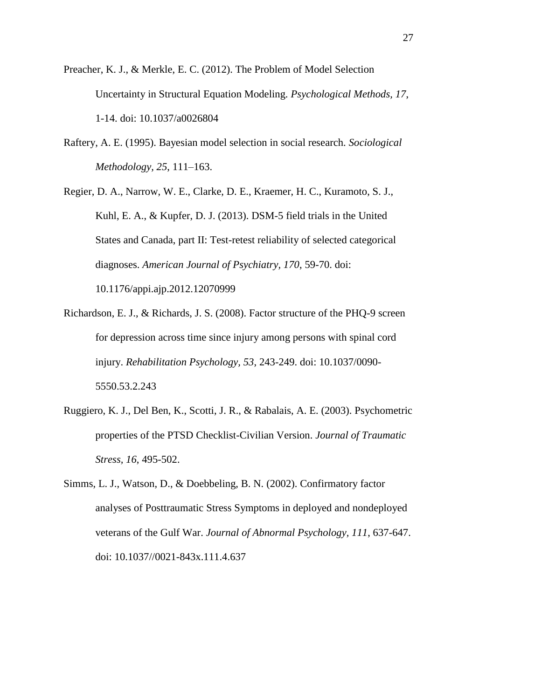- <span id="page-26-4"></span>Preacher, K. J., & Merkle, E. C. (2012). The Problem of Model Selection Uncertainty in Structural Equation Modeling. *Psychological Methods, 17*, 1-14. doi: 10.1037/a0026804
- <span id="page-26-3"></span>Raftery, A. E. (1995). Bayesian model selection in social research. *Sociological Methodology, 25*, 111–163.

<span id="page-26-5"></span>Regier, D. A., Narrow, W. E., Clarke, D. E., Kraemer, H. C., Kuramoto, S. J., Kuhl, E. A., & Kupfer, D. J. (2013). DSM-5 field trials in the United States and Canada, part II: Test-retest reliability of selected categorical diagnoses. *American Journal of Psychiatry, 170*, 59-70. doi: 10.1176/appi.ajp.2012.12070999

- <span id="page-26-1"></span>Richardson, E. J., & Richards, J. S. (2008). Factor structure of the PHQ-9 screen for depression across time since injury among persons with spinal cord injury. *Rehabilitation Psychology, 53*, 243-249. doi: 10.1037/0090- 5550.53.2.243
- <span id="page-26-2"></span>Ruggiero, K. J., Del Ben, K., Scotti, J. R., & Rabalais, A. E. (2003). Psychometric properties of the PTSD Checklist-Civilian Version. *Journal of Traumatic Stress, 16*, 495-502.
- <span id="page-26-0"></span>Simms, L. J., Watson, D., & Doebbeling, B. N. (2002). Confirmatory factor analyses of Posttraumatic Stress Symptoms in deployed and nondeployed veterans of the Gulf War. *Journal of Abnormal Psychology, 111*, 637-647. doi: 10.1037//0021-843x.111.4.637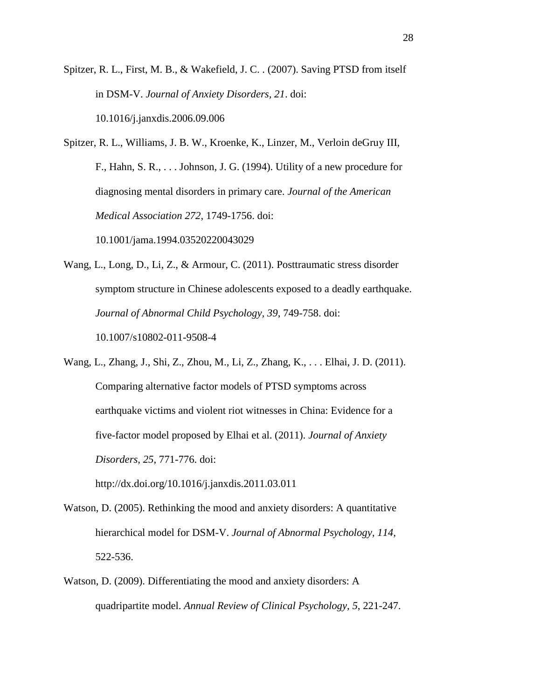<span id="page-27-0"></span>Spitzer, R. L., First, M. B., & Wakefield, J. C. . (2007). Saving PTSD from itself in DSM-V. *Journal of Anxiety Disorders, 21*. doi: 10.1016/j.janxdis.2006.09.006

<span id="page-27-3"></span>Spitzer, R. L., Williams, J. B. W., Kroenke, K., Linzer, M., Verloin deGruy III, F., Hahn, S. R., . . . Johnson, J. G. (1994). Utility of a new procedure for diagnosing mental disorders in primary care. *Journal of the American Medical Association 272*, 1749-1756. doi:

10.1001/jama.1994.03520220043029

<span id="page-27-4"></span>Wang, L., Long, D., Li, Z., & Armour, C. (2011). Posttraumatic stress disorder symptom structure in Chinese adolescents exposed to a deadly earthquake. *Journal of Abnormal Child Psychology, 39*, 749-758. doi: 10.1007/s10802-011-9508-4

<span id="page-27-5"></span>Wang, L., Zhang, J., Shi, Z., Zhou, M., Li, Z., Zhang, K., . . . Elhai, J. D. (2011). Comparing alternative factor models of PTSD symptoms across earthquake victims and violent riot witnesses in China: Evidence for a five-factor model proposed by Elhai et al. (2011). *Journal of Anxiety Disorders, 25*, 771-776. doi:

http://dx.doi.org/10.1016/j.janxdis.2011.03.011

- <span id="page-27-1"></span>Watson, D. (2005). Rethinking the mood and anxiety disorders: A quantitative hierarchical model for DSM-V. *Journal of Abnormal Psychology, 114*, 522-536.
- <span id="page-27-2"></span>Watson, D. (2009). Differentiating the mood and anxiety disorders: A quadripartite model. *Annual Review of Clinical Psychology, 5*, 221-247.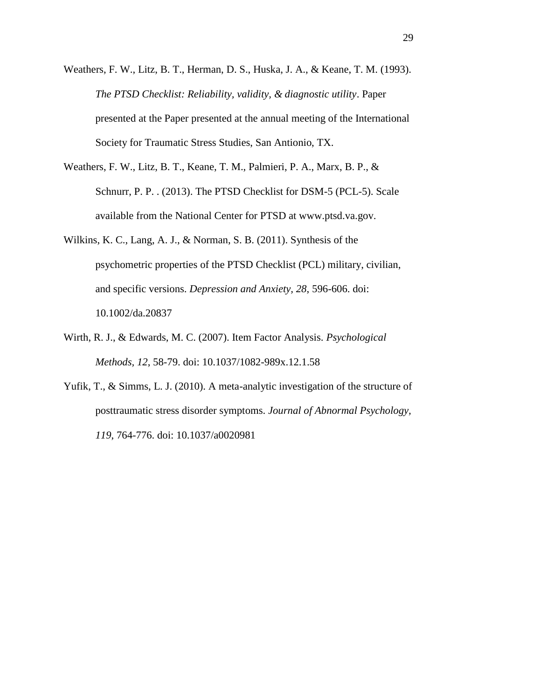- <span id="page-28-1"></span>Weathers, F. W., Litz, B. T., Herman, D. S., Huska, J. A., & Keane, T. M. (1993). *The PTSD Checklist: Reliability, validity, & diagnostic utility*. Paper presented at the Paper presented at the annual meeting of the International Society for Traumatic Stress Studies, San Antionio, TX.
- <span id="page-28-2"></span>Weathers, F. W., Litz, B. T., Keane, T. M., Palmieri, P. A., Marx, B. P., & Schnurr, P. P. . (2013). The PTSD Checklist for DSM-5 (PCL-5). Scale available from the National Center for PTSD at www.ptsd.va.gov.
- <span id="page-28-3"></span>Wilkins, K. C., Lang, A. J., & Norman, S. B. (2011). Synthesis of the psychometric properties of the PTSD Checklist (PCL) military, civilian, and specific versions. *Depression and Anxiety, 28*, 596-606. doi: 10.1002/da.20837
- <span id="page-28-4"></span>Wirth, R. J., & Edwards, M. C. (2007). Item Factor Analysis. *Psychological Methods, 12*, 58-79. doi: 10.1037/1082-989x.12.1.58
- <span id="page-28-0"></span>Yufik, T., & Simms, L. J. (2010). A meta-analytic investigation of the structure of posttraumatic stress disorder symptoms. *Journal of Abnormal Psychology, 119*, 764-776. doi: 10.1037/a0020981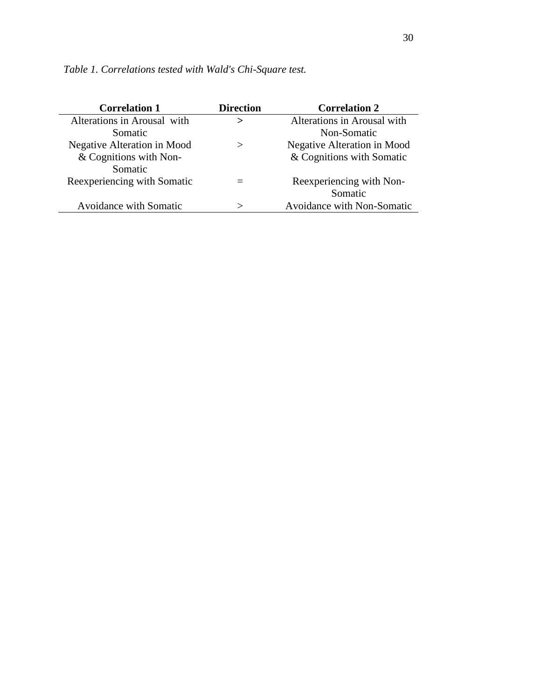| <b>Correlation 1</b>          | <b>Direction</b> | <b>Correlation 2</b>              |
|-------------------------------|------------------|-----------------------------------|
| Alterations in Arousal with   | $\geq$           | Alterations in Arousal with       |
| Somatic                       |                  | Non-Somatic                       |
| Negative Alteration in Mood   | $\rm{>}$         | Negative Alteration in Mood       |
| & Cognitions with Non-        |                  | & Cognitions with Somatic         |
| Somatic                       |                  |                                   |
| Reexperiencing with Somatic   |                  | Reexperiencing with Non-          |
|                               |                  | Somatic                           |
| <b>Avoidance with Somatic</b> | ヽ                | <b>Avoidance with Non-Somatic</b> |

*Table 1. Correlations tested with Wald's Chi-Square test.*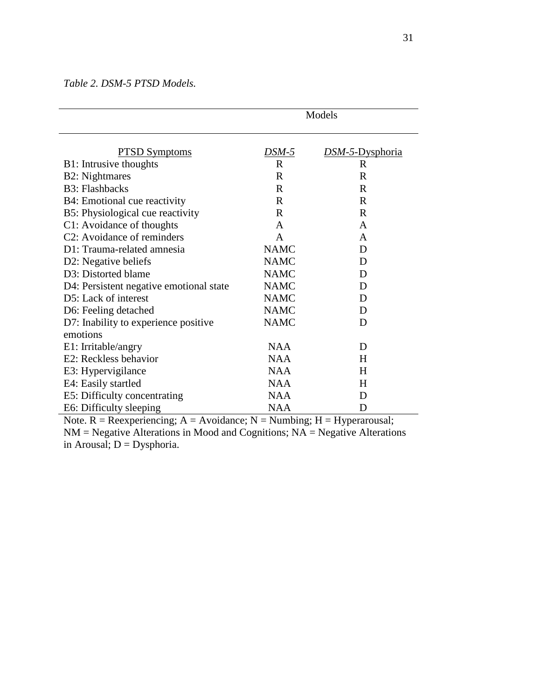*Table 2. DSM-5 PTSD Models.*

|                                            | Models       |                 |  |
|--------------------------------------------|--------------|-----------------|--|
| <b>PTSD Symptoms</b>                       | DSM-5        | DSM-5-Dysphoria |  |
| B1: Intrusive thoughts                     | $\mathbf R$  | R               |  |
| <b>B2</b> : Nightmares                     | R            | R               |  |
| <b>B3</b> : Flashbacks                     | $\mathbf R$  | $\mathbf R$     |  |
| B4: Emotional cue reactivity               | $\mathbf R$  | R               |  |
| B5: Physiological cue reactivity           | $\mathbf R$  | R               |  |
| C1: Avoidance of thoughts                  | $\mathsf{A}$ | A               |  |
| C2: Avoidance of reminders                 | A            | A               |  |
| D1: Trauma-related amnesia                 | <b>NAMC</b>  | D               |  |
| D2: Negative beliefs                       | <b>NAMC</b>  | D               |  |
| D3: Distorted blame                        | <b>NAMC</b>  | D               |  |
| D4: Persistent negative emotional state    | <b>NAMC</b>  | D               |  |
| D5: Lack of interest                       | <b>NAMC</b>  | D               |  |
| D6: Feeling detached                       | <b>NAMC</b>  | D               |  |
| D7: Inability to experience positive       | <b>NAMC</b>  | D               |  |
| emotions                                   |              |                 |  |
| E1: Irritable/angry                        | <b>NAA</b>   | D               |  |
| E2: Reckless behavior                      | <b>NAA</b>   | H               |  |
| E3: Hypervigilance                         | <b>NAA</b>   | H               |  |
| E4: Easily startled                        | <b>NAA</b>   | H               |  |
| E5: Difficulty concentrating               | <b>NAA</b>   | D               |  |
| E6: Difficulty sleeping<br>$\cdot$ $\cdot$ | <b>NAA</b>   | D               |  |

Note.  $R = Reexperiencing$ ;  $A = Avoidance$ ;  $N = Numbing$ ;  $H = Hyperavusal$ ;  $NM = Negative$  Alterations in Mood and Cognitions;  $NA = Negative$  Alterations in Arousal;  $D = Dysphoria$ .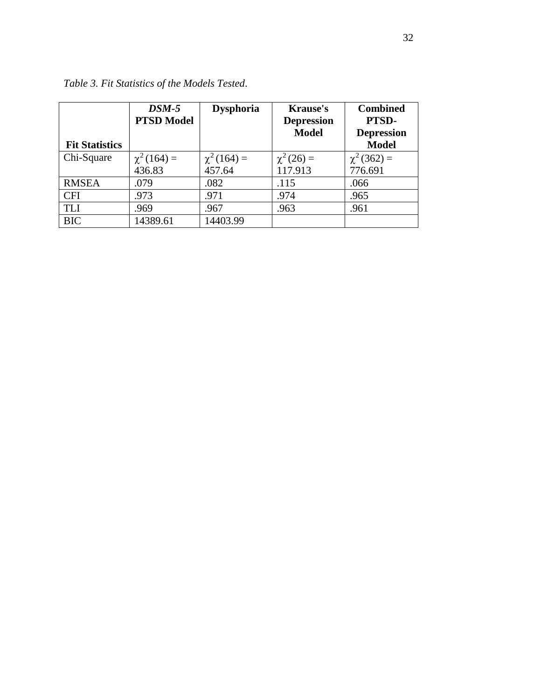| <b>Fit Statistics</b> | $DSM-5$<br><b>PTSD Model</b> | <b>Dysphoria</b> | <b>Krause's</b><br><b>Depression</b><br><b>Model</b> | <b>Combined</b><br>PTSD-<br><b>Depression</b><br><b>Model</b> |
|-----------------------|------------------------------|------------------|------------------------------------------------------|---------------------------------------------------------------|
| Chi-Square            | $\chi^2(164) =$              | $\chi^2(164) =$  | $\chi^2(26) =$                                       | $\chi^2(362) =$                                               |
|                       | 436.83                       | 457.64           | 117.913                                              | 776.691                                                       |
| <b>RMSEA</b>          | .079                         | .082             | .115                                                 | .066                                                          |
| <b>CFI</b>            | .973                         | .971             | .974                                                 | .965                                                          |
| <b>TLI</b>            | .969                         | .967             | .963                                                 | .961                                                          |
| <b>BIC</b>            | 14389.61                     | 14403.99         |                                                      |                                                               |

*Table 3. Fit Statistics of the Models Tested*.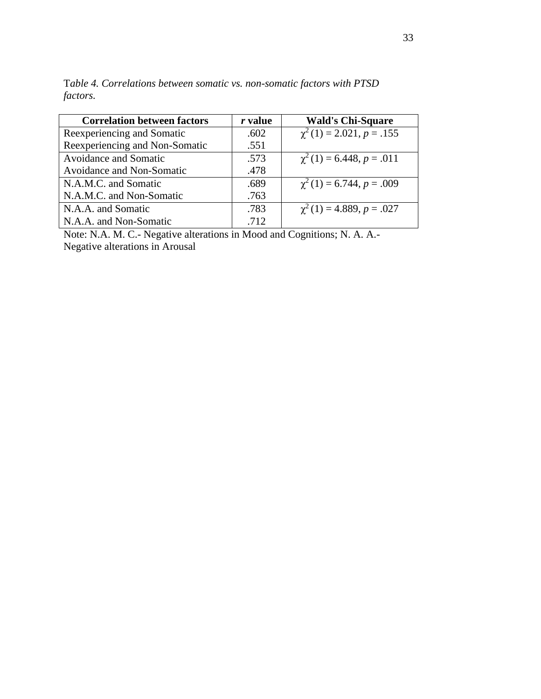| <b>Correlation between factors</b> | r value | <b>Wald's Chi-Square</b>        |
|------------------------------------|---------|---------------------------------|
| Reexperiencing and Somatic         | .602    | $\chi^2(1) = 2.021, p = .155$   |
| Reexperiencing and Non-Somatic     | .551    |                                 |
| <b>Avoidance and Somatic</b>       | .573    | $\chi^2(1) = 6.448, p = .011$   |
| Avoidance and Non-Somatic          | .478    |                                 |
| N.A.M.C. and Somatic               | .689    | $\gamma^2(1) = 6.744, p = .009$ |
| N.A.M.C. and Non-Somatic           | .763    |                                 |
| N.A.A. and Somatic                 | .783    | $\chi^2(1) = 4.889, p = .027$   |
| N.A.A. and Non-Somatic             | .712    |                                 |

T*able 4. Correlations between somatic vs. non-somatic factors with PTSD factors.*

Note: N.A. M. C.- Negative alterations in Mood and Cognitions; N. A. A.- Negative alterations in Arousal